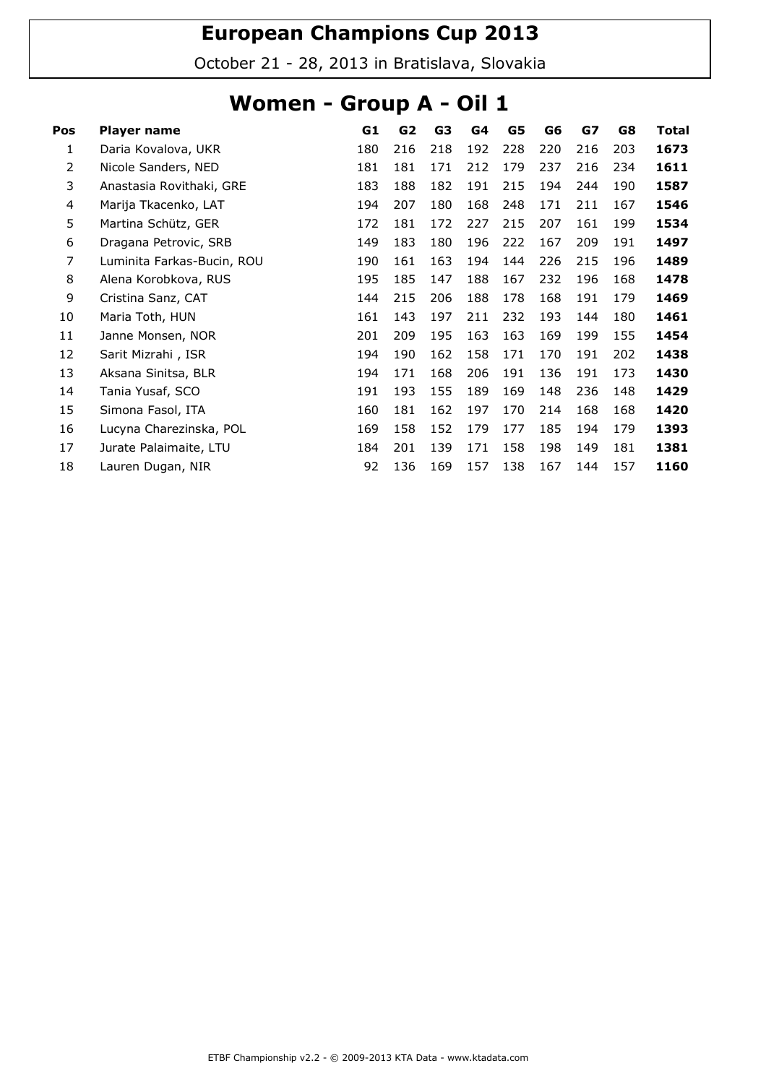October 21 - 28, 2013 in Bratislava, Slovakia

### Women - Group A - Oil 1

| Pos | Player name                | G1  | G2  | G3  | G4  | G5  | G6  | GZ  | G8  | <b>Total</b> |
|-----|----------------------------|-----|-----|-----|-----|-----|-----|-----|-----|--------------|
| 1   | Daria Kovalova, UKR        | 180 | 216 | 218 | 192 | 228 | 220 | 216 | 203 | 1673         |
| 2   | Nicole Sanders, NED        | 181 | 181 | 171 | 212 | 179 | 237 | 216 | 234 | 1611         |
| 3   | Anastasia Rovithaki, GRE   | 183 | 188 | 182 | 191 | 215 | 194 | 244 | 190 | 1587         |
| 4   | Marija Tkacenko, LAT       | 194 | 207 | 180 | 168 | 248 | 171 | 211 | 167 | 1546         |
| 5   | Martina Schütz, GER        | 172 | 181 | 172 | 227 | 215 | 207 | 161 | 199 | 1534         |
| 6   | Dragana Petrovic, SRB      | 149 | 183 | 180 | 196 | 222 | 167 | 209 | 191 | 1497         |
| 7   | Luminita Farkas-Bucin, ROU | 190 | 161 | 163 | 194 | 144 | 226 | 215 | 196 | 1489         |
| 8   | Alena Korobkova, RUS       | 195 | 185 | 147 | 188 | 167 | 232 | 196 | 168 | 1478         |
| 9   | Cristina Sanz, CAT         | 144 | 215 | 206 | 188 | 178 | 168 | 191 | 179 | 1469         |
| 10  | Maria Toth, HUN            | 161 | 143 | 197 | 211 | 232 | 193 | 144 | 180 | 1461         |
| 11  | Janne Monsen, NOR          | 201 | 209 | 195 | 163 | 163 | 169 | 199 | 155 | 1454         |
| 12  | Sarit Mizrahi, ISR         | 194 | 190 | 162 | 158 | 171 | 170 | 191 | 202 | 1438         |
| 13  | Aksana Sinitsa, BLR        | 194 | 171 | 168 | 206 | 191 | 136 | 191 | 173 | 1430         |
| 14  | Tania Yusaf, SCO           | 191 | 193 | 155 | 189 | 169 | 148 | 236 | 148 | 1429         |
| 15  | Simona Fasol, ITA          | 160 | 181 | 162 | 197 | 170 | 214 | 168 | 168 | 1420         |
| 16  | Lucyna Charezinska, POL    | 169 | 158 | 152 | 179 | 177 | 185 | 194 | 179 | 1393         |
| 17  | Jurate Palaimaite, LTU     | 184 | 201 | 139 | 171 | 158 | 198 | 149 | 181 | 1381         |
| 18  | Lauren Dugan, NIR          | 92  | 136 | 169 | 157 | 138 | 167 | 144 | 157 | 1160         |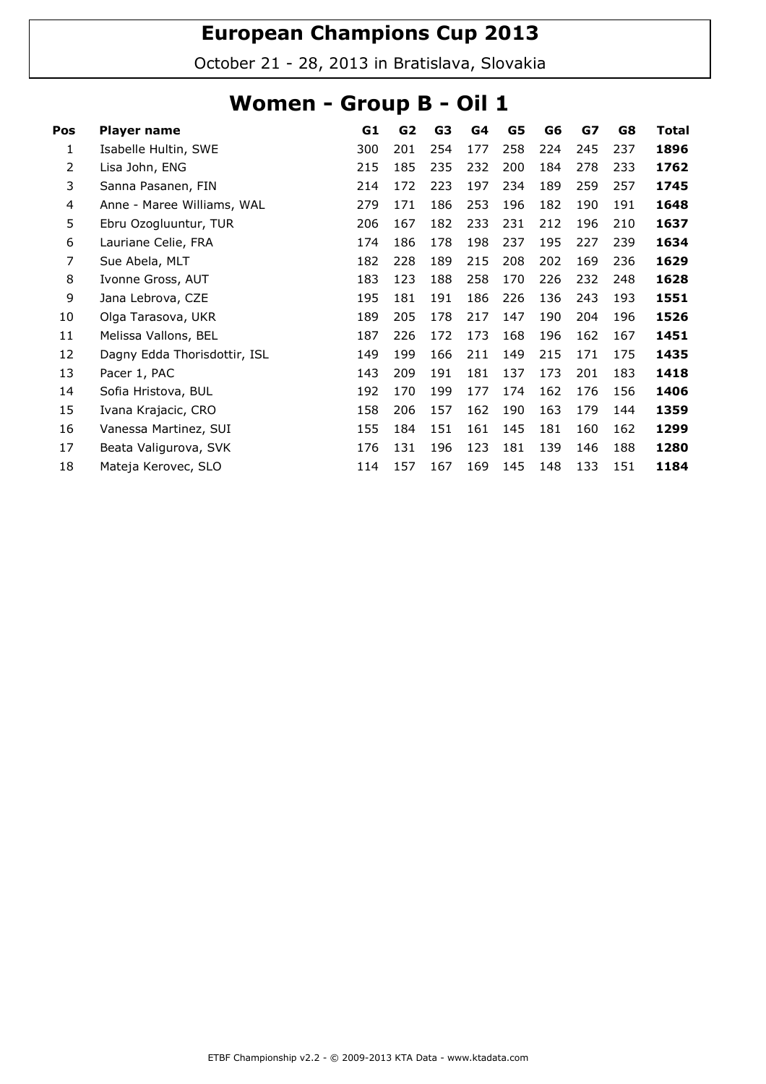October 21 - 28, 2013 in Bratislava, Slovakia

### Women - Group B - Oil 1

| Pos | Player name                  | G1  | G <sub>2</sub> | G3  | G4  | G5  | G6  | G7  | G8  | <b>Total</b> |
|-----|------------------------------|-----|----------------|-----|-----|-----|-----|-----|-----|--------------|
| 1   | Isabelle Hultin, SWE         | 300 | 201            | 254 | 177 | 258 | 224 | 245 | 237 | 1896         |
| 2   | Lisa John, ENG               | 215 | 185            | 235 | 232 | 200 | 184 | 278 | 233 | 1762         |
| 3   | Sanna Pasanen, FIN           | 214 | 172            | 223 | 197 | 234 | 189 | 259 | 257 | 1745         |
| 4   | Anne - Maree Williams, WAL   | 279 | 171            | 186 | 253 | 196 | 182 | 190 | 191 | 1648         |
| 5   | Ebru Ozogluuntur, TUR        | 206 | 167            | 182 | 233 | 231 | 212 | 196 | 210 | 1637         |
| 6   | Lauriane Celie, FRA          | 174 | 186            | 178 | 198 | 237 | 195 | 227 | 239 | 1634         |
| 7   | Sue Abela, MLT               | 182 | 228            | 189 | 215 | 208 | 202 | 169 | 236 | 1629         |
| 8   | Ivonne Gross, AUT            | 183 | 123            | 188 | 258 | 170 | 226 | 232 | 248 | 1628         |
| 9   | Jana Lebrova, CZE            | 195 | 181            | 191 | 186 | 226 | 136 | 243 | 193 | 1551         |
| 10  | Olga Tarasova, UKR           | 189 | 205            | 178 | 217 | 147 | 190 | 204 | 196 | 1526         |
| 11  | Melissa Vallons, BEL         | 187 | 226            | 172 | 173 | 168 | 196 | 162 | 167 | 1451         |
| 12  | Dagny Edda Thorisdottir, ISL | 149 | 199            | 166 | 211 | 149 | 215 | 171 | 175 | 1435         |
| 13  | Pacer 1, PAC                 | 143 | 209            | 191 | 181 | 137 | 173 | 201 | 183 | 1418         |
| 14  | Sofia Hristova, BUL          | 192 | 170            | 199 | 177 | 174 | 162 | 176 | 156 | 1406         |
| 15  | Ivana Krajacic, CRO          | 158 | 206            | 157 | 162 | 190 | 163 | 179 | 144 | 1359         |
| 16  | Vanessa Martinez, SUI        | 155 | 184            | 151 | 161 | 145 | 181 | 160 | 162 | 1299         |
| 17  | Beata Valigurova, SVK        | 176 | 131            | 196 | 123 | 181 | 139 | 146 | 188 | 1280         |
| 18  | Mateja Kerovec, SLO          | 114 | 157            | 167 | 169 | 145 | 148 | 133 | 151 | 1184         |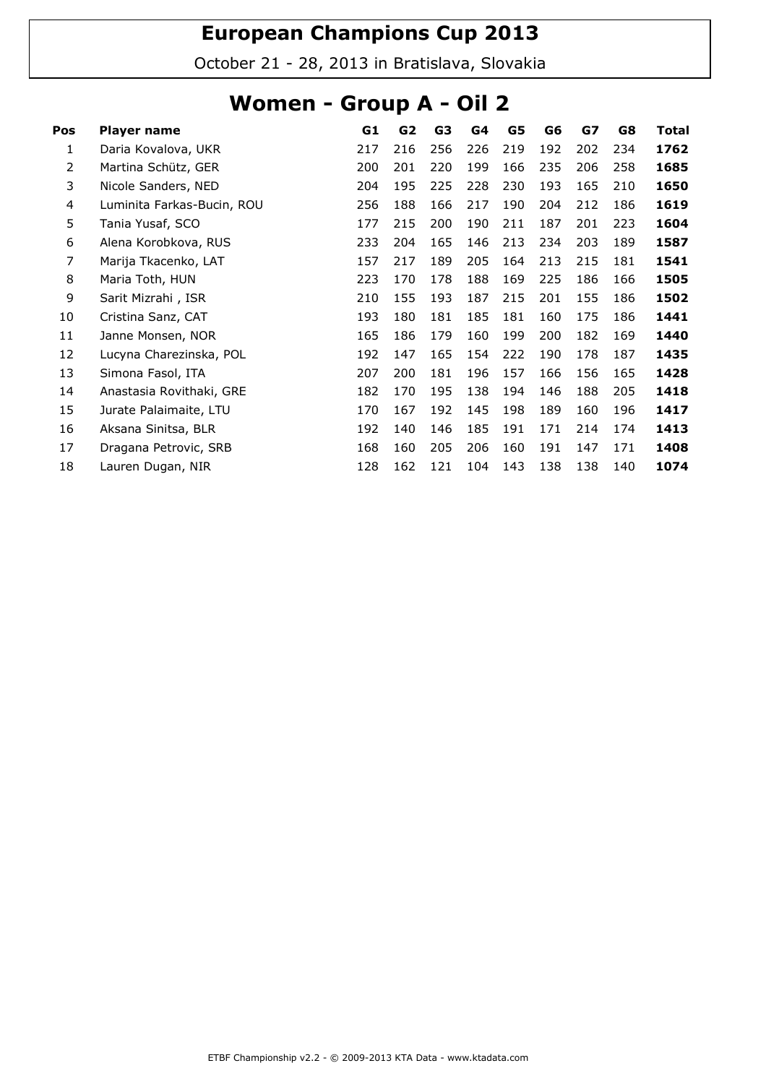October 21 - 28, 2013 in Bratislava, Slovakia

### Women - Group A - Oil 2

| Pos | Player name                | G1  | G <sub>2</sub> | G3  | G4  | G5  | G6  | G7  | G8  | <b>Total</b> |
|-----|----------------------------|-----|----------------|-----|-----|-----|-----|-----|-----|--------------|
| 1   | Daria Kovalova, UKR        | 217 | 216            | 256 | 226 | 219 | 192 | 202 | 234 | 1762         |
| 2   | Martina Schütz, GER        | 200 | 201            | 220 | 199 | 166 | 235 | 206 | 258 | 1685         |
| 3   | Nicole Sanders, NED        | 204 | 195            | 225 | 228 | 230 | 193 | 165 | 210 | 1650         |
| 4   | Luminita Farkas-Bucin, ROU | 256 | 188            | 166 | 217 | 190 | 204 | 212 | 186 | 1619         |
| 5   | Tania Yusaf, SCO           | 177 | 215            | 200 | 190 | 211 | 187 | 201 | 223 | 1604         |
| 6   | Alena Korobkova, RUS       | 233 | 204            | 165 | 146 | 213 | 234 | 203 | 189 | 1587         |
| 7   | Marija Tkacenko, LAT       | 157 | 217            | 189 | 205 | 164 | 213 | 215 | 181 | 1541         |
| 8   | Maria Toth, HUN            | 223 | 170            | 178 | 188 | 169 | 225 | 186 | 166 | 1505         |
| 9   | Sarit Mizrahi, ISR         | 210 | 155            | 193 | 187 | 215 | 201 | 155 | 186 | 1502         |
| 10  | Cristina Sanz, CAT         | 193 | 180            | 181 | 185 | 181 | 160 | 175 | 186 | 1441         |
| 11  | Janne Monsen, NOR          | 165 | 186            | 179 | 160 | 199 | 200 | 182 | 169 | 1440         |
| 12  | Lucyna Charezinska, POL    | 192 | 147            | 165 | 154 | 222 | 190 | 178 | 187 | 1435         |
| 13  | Simona Fasol, ITA          | 207 | 200            | 181 | 196 | 157 | 166 | 156 | 165 | 1428         |
| 14  | Anastasia Rovithaki, GRE   | 182 | 170            | 195 | 138 | 194 | 146 | 188 | 205 | 1418         |
| 15  | Jurate Palaimaite, LTU     | 170 | 167            | 192 | 145 | 198 | 189 | 160 | 196 | 1417         |
| 16  | Aksana Sinitsa, BLR        | 192 | 140            | 146 | 185 | 191 | 171 | 214 | 174 | 1413         |
| 17  | Dragana Petrovic, SRB      | 168 | 160            | 205 | 206 | 160 | 191 | 147 | 171 | 1408         |
| 18  | Lauren Dugan, NIR          | 128 | 162            | 121 | 104 | 143 | 138 | 138 | 140 | 1074         |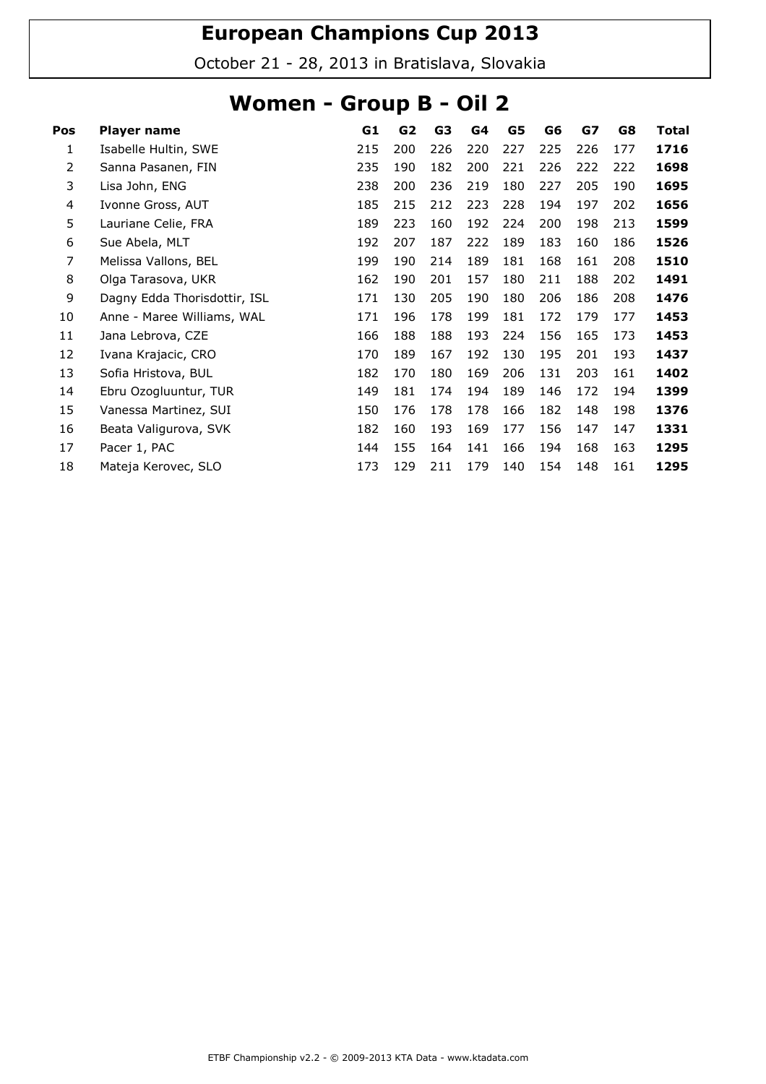October 21 - 28, 2013 in Bratislava, Slovakia

### Women - Group B - Oil 2

| Pos            | Player name                  | G1  | G <sub>2</sub> | G3  | G4  | G5  | G6  | G7  | G8  | <b>Total</b> |
|----------------|------------------------------|-----|----------------|-----|-----|-----|-----|-----|-----|--------------|
| 1              | Isabelle Hultin, SWE         | 215 | 200            | 226 | 220 | 227 | 225 | 226 | 177 | 1716         |
| $\overline{2}$ | Sanna Pasanen, FIN           | 235 | 190            | 182 | 200 | 221 | 226 | 222 | 222 | 1698         |
| 3              | Lisa John, ENG               | 238 | 200            | 236 | 219 | 180 | 227 | 205 | 190 | 1695         |
| 4              | Ivonne Gross, AUT            | 185 | 215            | 212 | 223 | 228 | 194 | 197 | 202 | 1656         |
| 5              | Lauriane Celie, FRA          | 189 | 223            | 160 | 192 | 224 | 200 | 198 | 213 | 1599         |
| 6              | Sue Abela, MLT               | 192 | 207            | 187 | 222 | 189 | 183 | 160 | 186 | 1526         |
| 7              | Melissa Vallons, BEL         | 199 | 190            | 214 | 189 | 181 | 168 | 161 | 208 | 1510         |
| 8              | Olga Tarasova, UKR           | 162 | 190            | 201 | 157 | 180 | 211 | 188 | 202 | 1491         |
| 9              | Dagny Edda Thorisdottir, ISL | 171 | 130            | 205 | 190 | 180 | 206 | 186 | 208 | 1476         |
| 10             | Anne - Maree Williams, WAL   | 171 | 196            | 178 | 199 | 181 | 172 | 179 | 177 | 1453         |
| 11             | Jana Lebrova, CZE            | 166 | 188            | 188 | 193 | 224 | 156 | 165 | 173 | 1453         |
| 12             | Ivana Krajacic, CRO          | 170 | 189            | 167 | 192 | 130 | 195 | 201 | 193 | 1437         |
| 13             | Sofia Hristova, BUL          | 182 | 170            | 180 | 169 | 206 | 131 | 203 | 161 | 1402         |
| 14             | Ebru Ozogluuntur, TUR        | 149 | 181            | 174 | 194 | 189 | 146 | 172 | 194 | 1399         |
| 15             | Vanessa Martinez, SUI        | 150 | 176            | 178 | 178 | 166 | 182 | 148 | 198 | 1376         |
| 16             | Beata Valigurova, SVK        | 182 | 160            | 193 | 169 | 177 | 156 | 147 | 147 | 1331         |
| 17             | Pacer 1, PAC                 | 144 | 155            | 164 | 141 | 166 | 194 | 168 | 163 | 1295         |
| 18             | Mateja Kerovec, SLO          | 173 | 129            | 211 | 179 | 140 | 154 | 148 | 161 | 1295         |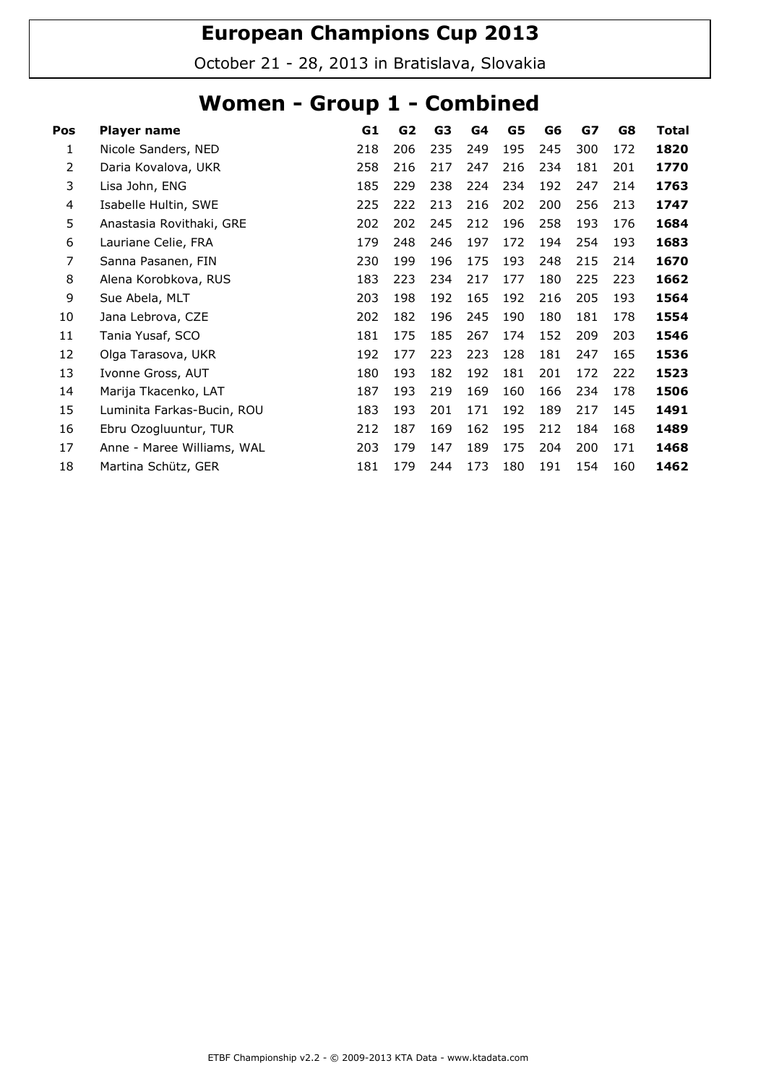October 21 - 28, 2013 in Bratislava, Slovakia

### Women - Group 1 - Combined

| Pos | Player name                | G1  | G <sub>2</sub> | G3  | G4  | G5  | G6  | G7  | G8  | <b>Total</b> |
|-----|----------------------------|-----|----------------|-----|-----|-----|-----|-----|-----|--------------|
| 1   | Nicole Sanders, NED        | 218 | 206            | 235 | 249 | 195 | 245 | 300 | 172 | 1820         |
| 2   | Daria Kovalova, UKR        | 258 | 216            | 217 | 247 | 216 | 234 | 181 | 201 | 1770         |
| 3   | Lisa John, ENG             | 185 | 229            | 238 | 224 | 234 | 192 | 247 | 214 | 1763         |
| 4   | Isabelle Hultin, SWE       | 225 | 222            | 213 | 216 | 202 | 200 | 256 | 213 | 1747         |
| 5   | Anastasia Rovithaki, GRE   | 202 | 202            | 245 | 212 | 196 | 258 | 193 | 176 | 1684         |
| 6   | Lauriane Celie, FRA        | 179 | 248            | 246 | 197 | 172 | 194 | 254 | 193 | 1683         |
| 7   | Sanna Pasanen, FIN         | 230 | 199            | 196 | 175 | 193 | 248 | 215 | 214 | 1670         |
| 8   | Alena Korobkova, RUS       | 183 | 223            | 234 | 217 | 177 | 180 | 225 | 223 | 1662         |
| 9   | Sue Abela, MLT             | 203 | 198            | 192 | 165 | 192 | 216 | 205 | 193 | 1564         |
| 10  | Jana Lebrova, CZE          | 202 | 182            | 196 | 245 | 190 | 180 | 181 | 178 | 1554         |
| 11  | Tania Yusaf, SCO           | 181 | 175            | 185 | 267 | 174 | 152 | 209 | 203 | 1546         |
| 12  | Olga Tarasova, UKR         | 192 | 177            | 223 | 223 | 128 | 181 | 247 | 165 | 1536         |
| 13  | Ivonne Gross, AUT          | 180 | 193            | 182 | 192 | 181 | 201 | 172 | 222 | 1523         |
| 14  | Marija Tkacenko, LAT       | 187 | 193            | 219 | 169 | 160 | 166 | 234 | 178 | 1506         |
| 15  | Luminita Farkas-Bucin, ROU | 183 | 193            | 201 | 171 | 192 | 189 | 217 | 145 | 1491         |
| 16  | Ebru Ozogluuntur, TUR      | 212 | 187            | 169 | 162 | 195 | 212 | 184 | 168 | 1489         |
| 17  | Anne - Maree Williams, WAL | 203 | 179            | 147 | 189 | 175 | 204 | 200 | 171 | 1468         |
| 18  | Martina Schütz, GER        | 181 | 179            | 244 | 173 | 180 | 191 | 154 | 160 | 1462         |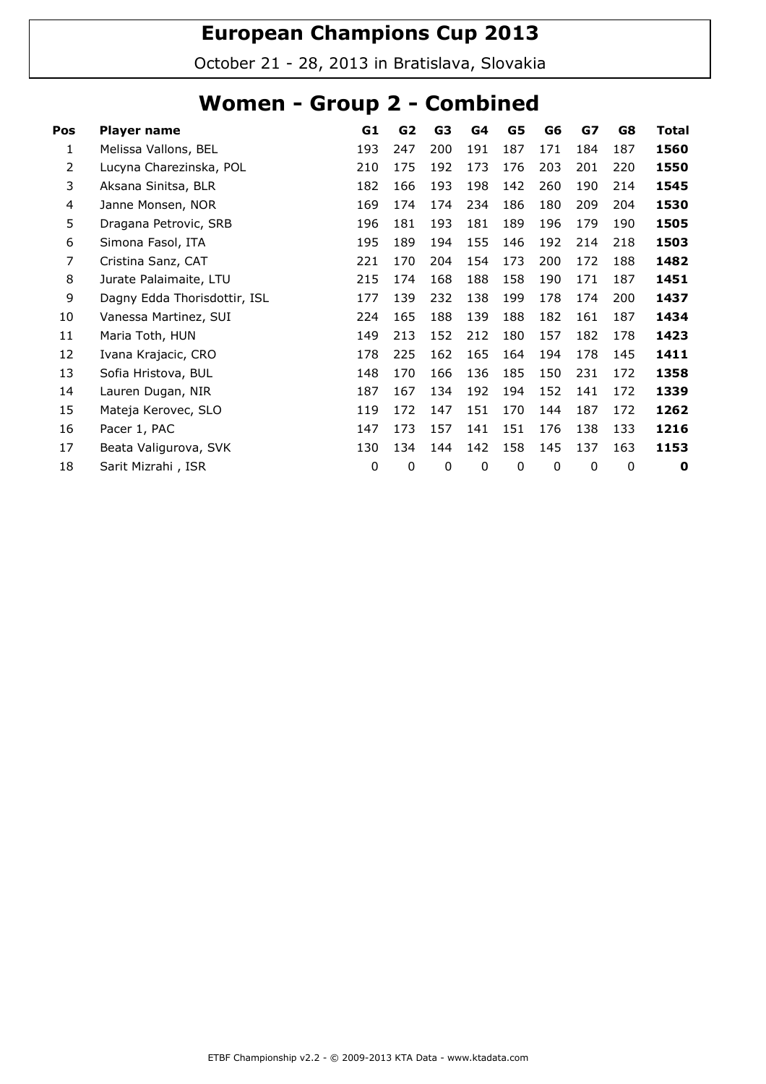October 21 - 28, 2013 in Bratislava, Slovakia

### Women - Group 2 - Combined

| Pos | Player name                  | G1  | G <sub>2</sub> | G3  | G <sub>4</sub> | G5          | G6  | G7  | G8  | <b>Total</b> |
|-----|------------------------------|-----|----------------|-----|----------------|-------------|-----|-----|-----|--------------|
| 1   | Melissa Vallons, BEL         | 193 | 247            | 200 | 191            | 187         | 171 | 184 | 187 | 1560         |
| 2   | Lucyna Charezinska, POL      | 210 | 175            | 192 | 173            | 176         | 203 | 201 | 220 | 1550         |
| 3   | Aksana Sinitsa, BLR          | 182 | 166            | 193 | 198            | 142         | 260 | 190 | 214 | 1545         |
| 4   | Janne Monsen, NOR            | 169 | 174            | 174 | 234            | 186         | 180 | 209 | 204 | 1530         |
| 5   | Dragana Petrovic, SRB        | 196 | 181            | 193 | 181            | 189         | 196 | 179 | 190 | 1505         |
| 6   | Simona Fasol, ITA            | 195 | 189            | 194 | 155            | 146         | 192 | 214 | 218 | 1503         |
| 7   | Cristina Sanz, CAT           | 221 | 170            | 204 | 154            | 173         | 200 | 172 | 188 | 1482         |
| 8   | Jurate Palaimaite, LTU       | 215 | 174            | 168 | 188            | 158         | 190 | 171 | 187 | 1451         |
| 9   | Dagny Edda Thorisdottir, ISL | 177 | 139            | 232 | 138            | 199         | 178 | 174 | 200 | 1437         |
| 10  | Vanessa Martinez, SUI        | 224 | 165            | 188 | 139            | 188         | 182 | 161 | 187 | 1434         |
| 11  | Maria Toth, HUN              | 149 | 213            | 152 | 212            | 180         | 157 | 182 | 178 | 1423         |
| 12  | Ivana Krajacic, CRO          | 178 | 225            | 162 | 165            | 164         | 194 | 178 | 145 | 1411         |
| 13  | Sofia Hristova, BUL          | 148 | 170            | 166 | 136            | 185         | 150 | 231 | 172 | 1358         |
| 14  | Lauren Dugan, NIR            | 187 | 167            | 134 | 192            | 194         | 152 | 141 | 172 | 1339         |
| 15  | Mateja Kerovec, SLO          | 119 | 172            | 147 | 151            | 170         | 144 | 187 | 172 | 1262         |
| 16  | Pacer 1, PAC                 | 147 | 173            | 157 | 141            | 151         | 176 | 138 | 133 | 1216         |
| 17  | Beata Valigurova, SVK        | 130 | 134            | 144 | 142            | 158         | 145 | 137 | 163 | 1153         |
| 18  | Sarit Mizrahi, ISR           | 0   | 0              | 0   | 0              | $\mathbf 0$ | 0   | 0   | 0   | 0            |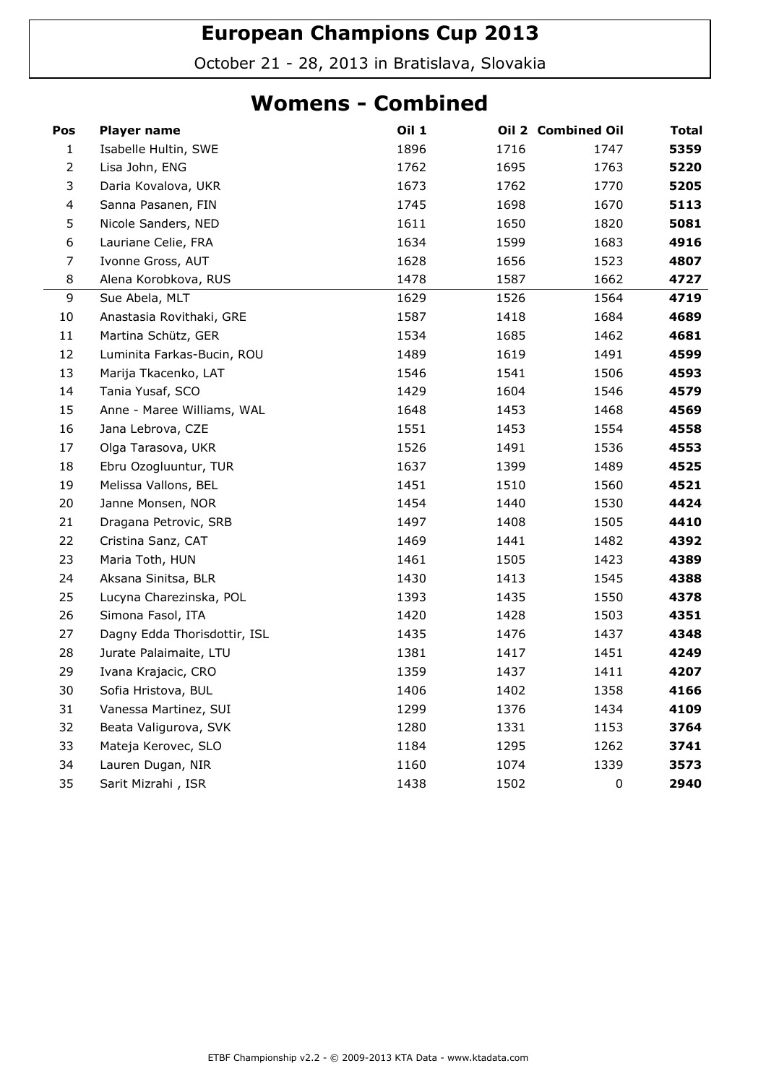October 21 - 28, 2013 in Bratislava, Slovakia

#### Womens - Combined

| Pos            | Player name                  | <b>Oil 1</b> |      | Oil 2 Combined Oil | <b>Total</b> |
|----------------|------------------------------|--------------|------|--------------------|--------------|
| $\mathbf{1}$   | Isabelle Hultin, SWE         | 1896         | 1716 | 1747               | 5359         |
| $\overline{2}$ | Lisa John, ENG               | 1762         | 1695 | 1763               | 5220         |
| 3              | Daria Kovalova, UKR          | 1673         | 1762 | 1770               | 5205         |
| $\overline{4}$ | Sanna Pasanen, FIN           | 1745         | 1698 | 1670               | 5113         |
| 5              | Nicole Sanders, NED          | 1611         | 1650 | 1820               | 5081         |
| 6              | Lauriane Celie, FRA          | 1634         | 1599 | 1683               | 4916         |
| $\overline{7}$ | Ivonne Gross, AUT            | 1628         | 1656 | 1523               | 4807         |
| 8              | Alena Korobkova, RUS         | 1478         | 1587 | 1662               | 4727         |
| $\mathsf 9$    | Sue Abela, MLT               | 1629         | 1526 | 1564               | 4719         |
| $10\,$         | Anastasia Rovithaki, GRE     | 1587         | 1418 | 1684               | 4689         |
| $11\,$         | Martina Schütz, GER          | 1534         | 1685 | 1462               | 4681         |
| 12             | Luminita Farkas-Bucin, ROU   | 1489         | 1619 | 1491               | 4599         |
| 13             | Marija Tkacenko, LAT         | 1546         | 1541 | 1506               | 4593         |
| 14             | Tania Yusaf, SCO             | 1429         | 1604 | 1546               | 4579         |
| 15             | Anne - Maree Williams, WAL   | 1648         | 1453 | 1468               | 4569         |
| 16             | Jana Lebrova, CZE            | 1551         | 1453 | 1554               | 4558         |
| 17             | Olga Tarasova, UKR           | 1526         | 1491 | 1536               | 4553         |
| 18             | Ebru Ozogluuntur, TUR        | 1637         | 1399 | 1489               | 4525         |
| 19             | Melissa Vallons, BEL         | 1451         | 1510 | 1560               | 4521         |
| 20             | Janne Monsen, NOR            | 1454         | 1440 | 1530               | 4424         |
| 21             | Dragana Petrovic, SRB        | 1497         | 1408 | 1505               | 4410         |
| 22             | Cristina Sanz, CAT           | 1469         | 1441 | 1482               | 4392         |
| 23             | Maria Toth, HUN              | 1461         | 1505 | 1423               | 4389         |
| 24             | Aksana Sinitsa, BLR          | 1430         | 1413 | 1545               | 4388         |
| 25             | Lucyna Charezinska, POL      | 1393         | 1435 | 1550               | 4378         |
| 26             | Simona Fasol, ITA            | 1420         | 1428 | 1503               | 4351         |
| 27             | Dagny Edda Thorisdottir, ISL | 1435         | 1476 | 1437               | 4348         |
| 28             | Jurate Palaimaite, LTU       | 1381         | 1417 | 1451               | 4249         |
| 29             | Ivana Krajacic, CRO          | 1359         | 1437 | 1411               | 4207         |
| 30             | Sofia Hristova, BUL          | 1406         | 1402 | 1358               | 4166         |
| 31             | Vanessa Martinez, SUI        | 1299         | 1376 | 1434               | 4109         |
| 32             | Beata Valigurova, SVK        | 1280         | 1331 | 1153               | 3764         |
| 33             | Mateja Kerovec, SLO          | 1184         | 1295 | 1262               | 3741         |
| 34             | Lauren Dugan, NIR            | 1160         | 1074 | 1339               | 3573         |
| 35             | Sarit Mizrahi, ISR           | 1438         | 1502 | $\mathbf 0$        | 2940         |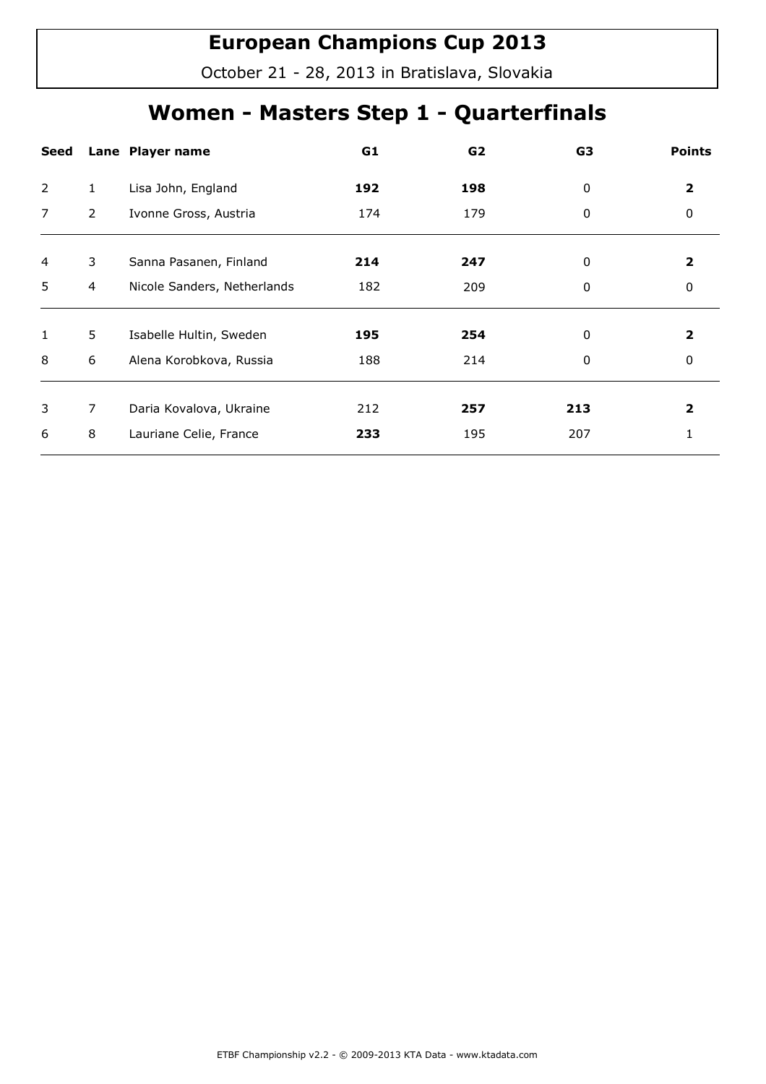October 21 - 28, 2013 in Bratislava, Slovakia

## Women - Masters Step 1 - Quarterfinals

| <b>Seed</b>    |                | Lane Player name            | G1  | G2  | G3  | <b>Points</b> |
|----------------|----------------|-----------------------------|-----|-----|-----|---------------|
| 2              | 1              | Lisa John, England          | 192 | 198 | 0   | 2             |
| 7              | $\overline{2}$ | Ivonne Gross, Austria       | 174 | 179 | 0   | 0             |
|                |                |                             |     |     |     |               |
| $\overline{4}$ | 3              | Sanna Pasanen, Finland      | 214 | 247 | 0   | 2             |
| 5              | 4              | Nicole Sanders, Netherlands | 182 | 209 | 0   | 0             |
|                |                |                             |     |     |     |               |
| $\mathbf{1}$   | 5              | Isabelle Hultin, Sweden     | 195 | 254 | 0   | 2             |
| 8              | 6              | Alena Korobkova, Russia     | 188 | 214 | 0   | 0             |
|                |                |                             |     |     |     |               |
| 3              | $\overline{7}$ | Daria Kovalova, Ukraine     | 212 | 257 | 213 | 2             |
| 6              | 8              | Lauriane Celie, France      | 233 | 195 | 207 |               |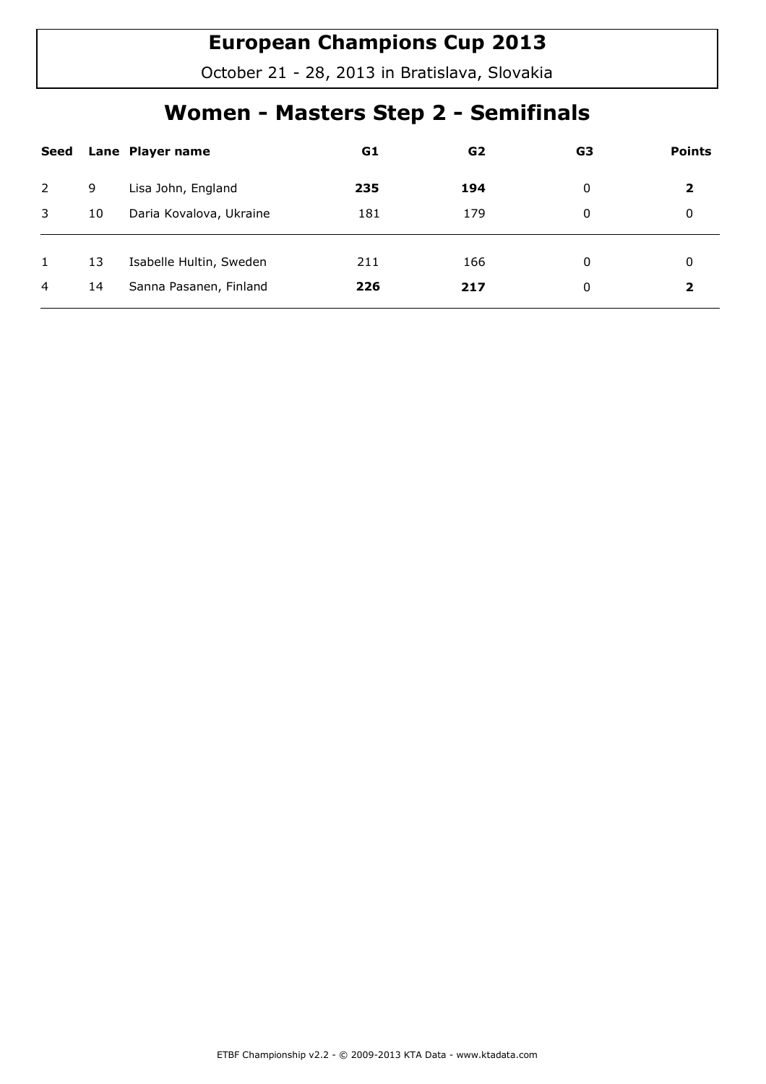October 21 - 28, 2013 in Bratislava, Slovakia

## Women - Masters Step 2 - Semifinals

| Seed |    | Lane Player name        | G1  | G <sub>2</sub> | G3 | <b>Points</b> |
|------|----|-------------------------|-----|----------------|----|---------------|
| 2    | 9  | Lisa John, England      | 235 | 194            | 0  | 2             |
| 3    | 10 | Daria Kovalova, Ukraine | 181 | 179            | 0  | 0             |
| 1    | 13 | Isabelle Hultin, Sweden | 211 | 166            | 0  | 0             |
|      |    |                         |     |                |    |               |
| 4    | 14 | Sanna Pasanen, Finland  | 226 | 217            | 0  | 2             |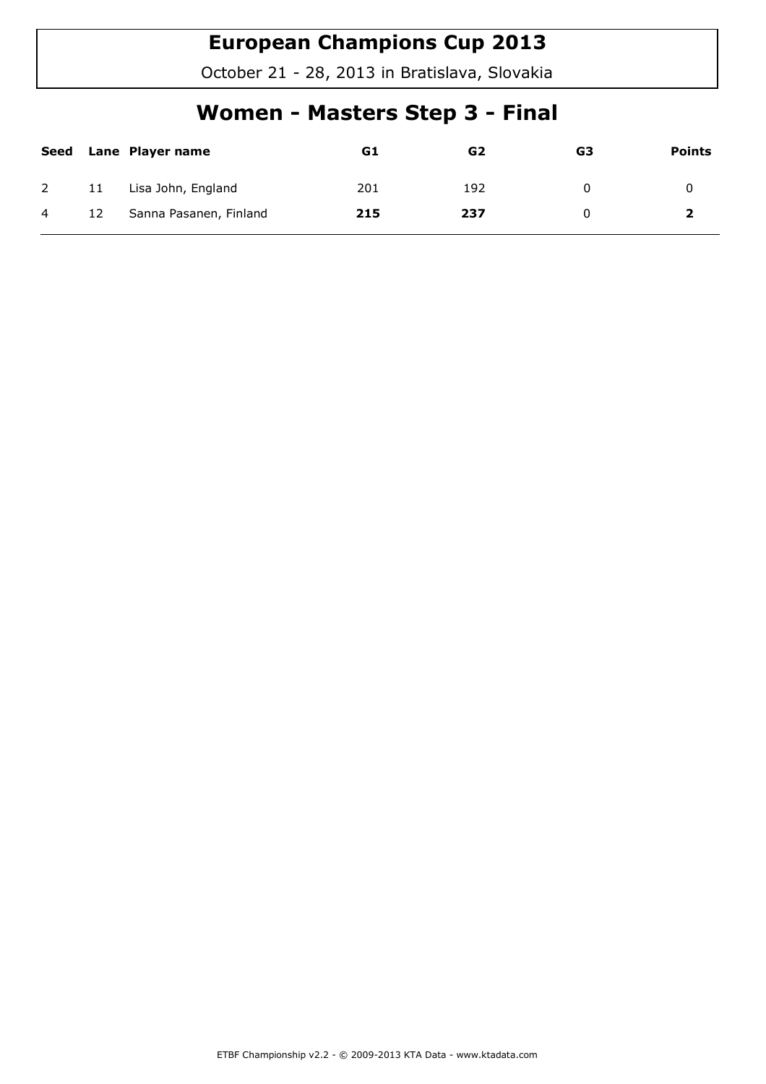October 21 - 28, 2013 in Bratislava, Slovakia

## Women - Masters Step 3 - Final

| Seed           |    | Lane Player name       | G1  | G <sub>2</sub> | G3 | <b>Points</b> |
|----------------|----|------------------------|-----|----------------|----|---------------|
| $\overline{2}$ | 11 | Lisa John, England     | 201 | 192            |    |               |
| $\overline{4}$ | 12 | Sanna Pasanen, Finland | 215 | 237            |    |               |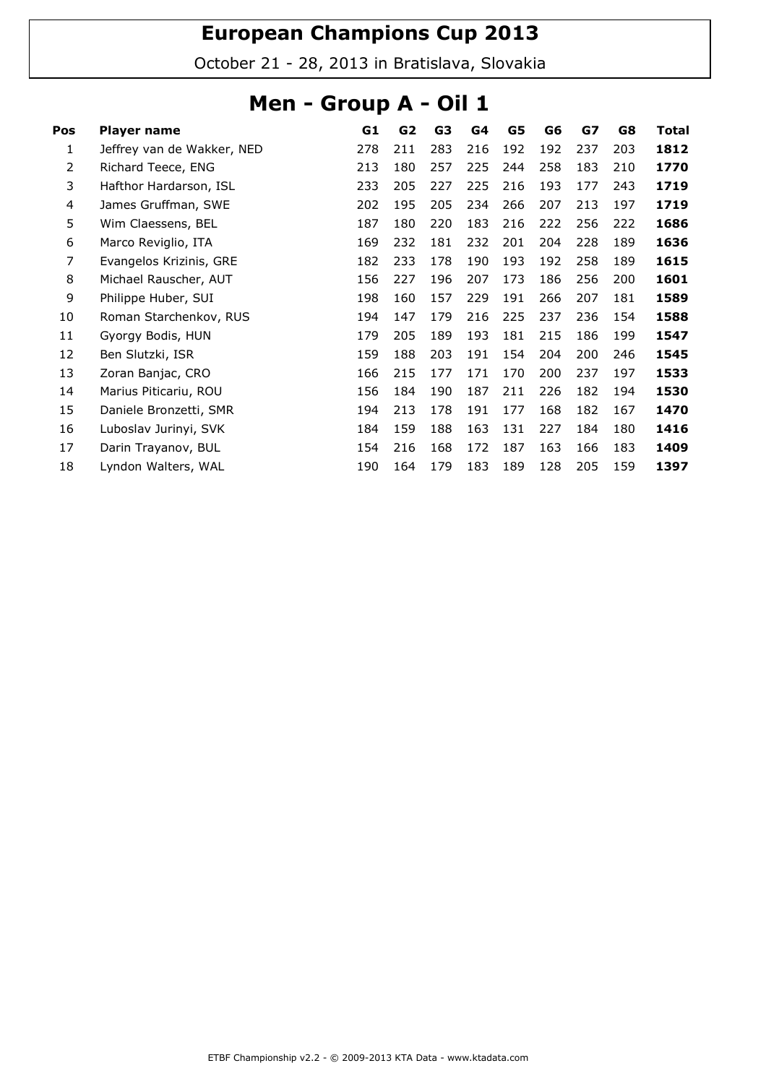October 21 - 28, 2013 in Bratislava, Slovakia

### Men - Group A - Oil 1

| Pos            | Player name                | G1  | G2  | G3  | G4  | G5  | G6  | G7  | G8  | Total |
|----------------|----------------------------|-----|-----|-----|-----|-----|-----|-----|-----|-------|
| 1              | Jeffrey van de Wakker, NED | 278 | 211 | 283 | 216 | 192 | 192 | 237 | 203 | 1812  |
| $\overline{2}$ | Richard Teece, ENG         | 213 | 180 | 257 | 225 | 244 | 258 | 183 | 210 | 1770  |
| 3              | Hafthor Hardarson, ISL     | 233 | 205 | 227 | 225 | 216 | 193 | 177 | 243 | 1719  |
| 4              | James Gruffman, SWE        | 202 | 195 | 205 | 234 | 266 | 207 | 213 | 197 | 1719  |
| 5              | Wim Claessens, BEL         | 187 | 180 | 220 | 183 | 216 | 222 | 256 | 222 | 1686  |
| 6              | Marco Reviglio, ITA        | 169 | 232 | 181 | 232 | 201 | 204 | 228 | 189 | 1636  |
| 7              | Evangelos Krizinis, GRE    | 182 | 233 | 178 | 190 | 193 | 192 | 258 | 189 | 1615  |
| 8              | Michael Rauscher, AUT      | 156 | 227 | 196 | 207 | 173 | 186 | 256 | 200 | 1601  |
| 9              | Philippe Huber, SUI        | 198 | 160 | 157 | 229 | 191 | 266 | 207 | 181 | 1589  |
| 10             | Roman Starchenkov, RUS     | 194 | 147 | 179 | 216 | 225 | 237 | 236 | 154 | 1588  |
| 11             | Gyorgy Bodis, HUN          | 179 | 205 | 189 | 193 | 181 | 215 | 186 | 199 | 1547  |
| 12             | Ben Slutzki, ISR           | 159 | 188 | 203 | 191 | 154 | 204 | 200 | 246 | 1545  |
| 13             | Zoran Banjac, CRO          | 166 | 215 | 177 | 171 | 170 | 200 | 237 | 197 | 1533  |
| 14             | Marius Piticariu, ROU      | 156 | 184 | 190 | 187 | 211 | 226 | 182 | 194 | 1530  |
| 15             | Daniele Bronzetti, SMR     | 194 | 213 | 178 | 191 | 177 | 168 | 182 | 167 | 1470  |
| 16             | Luboslav Jurinyi, SVK      | 184 | 159 | 188 | 163 | 131 | 227 | 184 | 180 | 1416  |
| 17             | Darin Trayanov, BUL        | 154 | 216 | 168 | 172 | 187 | 163 | 166 | 183 | 1409  |
| 18             | Lyndon Walters, WAL        | 190 | 164 | 179 | 183 | 189 | 128 | 205 | 159 | 1397  |
|                |                            |     |     |     |     |     |     |     |     |       |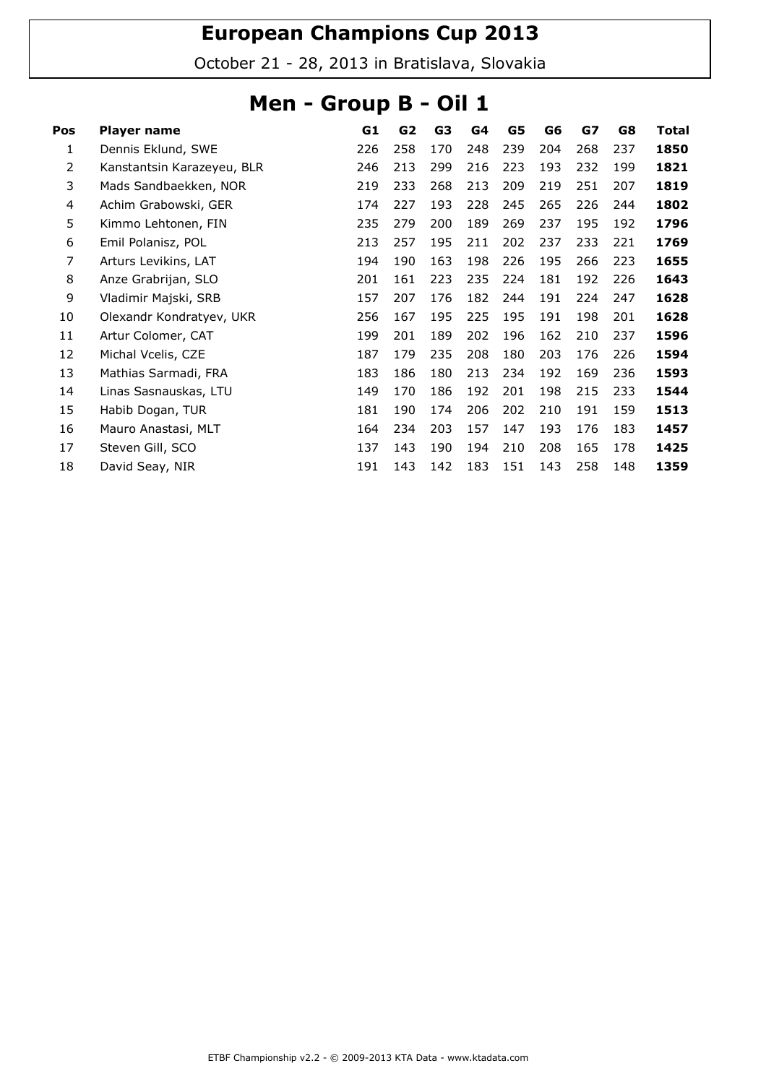October 21 - 28, 2013 in Bratislava, Slovakia

### Men - Group B - Oil 1

| Pos | Player name                | G1  | G <sub>2</sub> | G3  | G4  | G5  | G6  | G7  | G8  | Total |
|-----|----------------------------|-----|----------------|-----|-----|-----|-----|-----|-----|-------|
| 1   | Dennis Eklund, SWE         | 226 | 258            | 170 | 248 | 239 | 204 | 268 | 237 | 1850  |
| 2   | Kanstantsin Karazeyeu, BLR | 246 | 213            | 299 | 216 | 223 | 193 | 232 | 199 | 1821  |
| 3   | Mads Sandbaekken, NOR      | 219 | 233            | 268 | 213 | 209 | 219 | 251 | 207 | 1819  |
| 4   | Achim Grabowski, GER       | 174 | 227            | 193 | 228 | 245 | 265 | 226 | 244 | 1802  |
| 5   | Kimmo Lehtonen, FIN        | 235 | 279            | 200 | 189 | 269 | 237 | 195 | 192 | 1796  |
| 6   | Emil Polanisz, POL         | 213 | 257            | 195 | 211 | 202 | 237 | 233 | 221 | 1769  |
| 7   | Arturs Levikins, LAT       | 194 | 190            | 163 | 198 | 226 | 195 | 266 | 223 | 1655  |
| 8   | Anze Grabrijan, SLO        | 201 | 161            | 223 | 235 | 224 | 181 | 192 | 226 | 1643  |
| 9   | Vladimir Majski, SRB       | 157 | 207            | 176 | 182 | 244 | 191 | 224 | 247 | 1628  |
| 10  | Olexandr Kondratyev, UKR   | 256 | 167            | 195 | 225 | 195 | 191 | 198 | 201 | 1628  |
| 11  | Artur Colomer, CAT         | 199 | 201            | 189 | 202 | 196 | 162 | 210 | 237 | 1596  |
| 12  | Michal Vcelis, CZE         | 187 | 179            | 235 | 208 | 180 | 203 | 176 | 226 | 1594  |
| 13  | Mathias Sarmadi, FRA       | 183 | 186            | 180 | 213 | 234 | 192 | 169 | 236 | 1593  |
| 14  | Linas Sasnauskas, LTU      | 149 | 170            | 186 | 192 | 201 | 198 | 215 | 233 | 1544  |
| 15  | Habib Dogan, TUR           | 181 | 190            | 174 | 206 | 202 | 210 | 191 | 159 | 1513  |
| 16  | Mauro Anastasi, MLT        | 164 | 234            | 203 | 157 | 147 | 193 | 176 | 183 | 1457  |
| 17  | Steven Gill, SCO           | 137 | 143            | 190 | 194 | 210 | 208 | 165 | 178 | 1425  |
| 18  | David Seay, NIR            | 191 | 143            | 142 | 183 | 151 | 143 | 258 | 148 | 1359  |
|     |                            |     |                |     |     |     |     |     |     |       |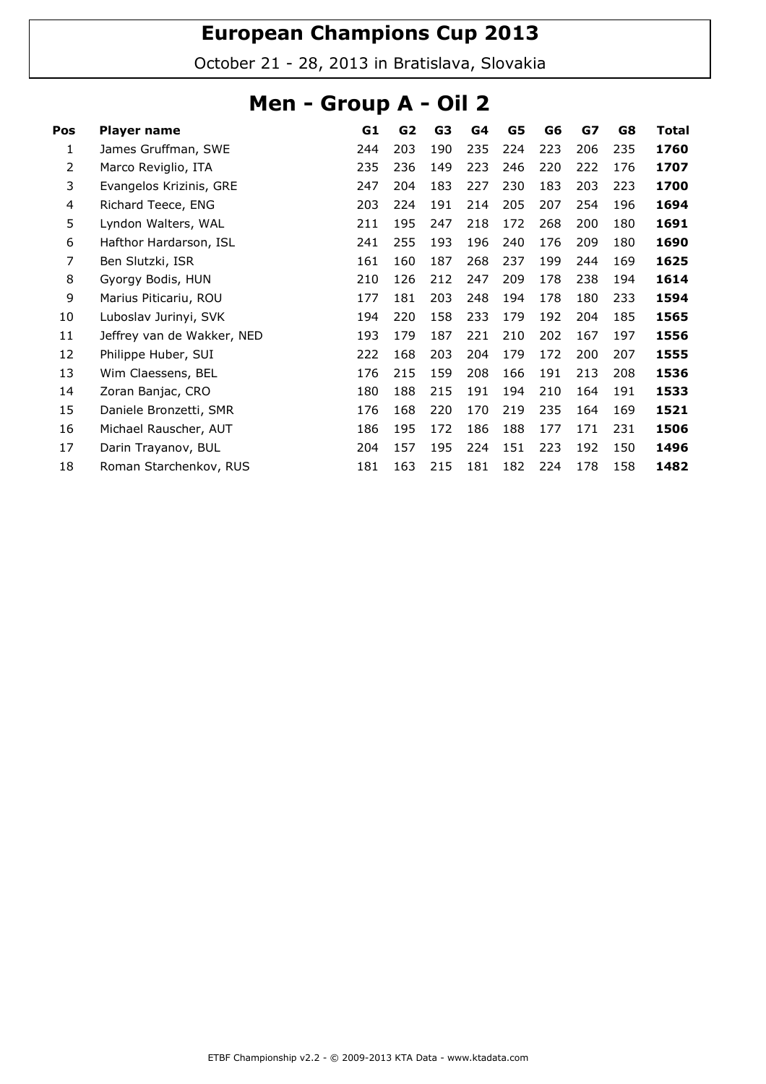October 21 - 28, 2013 in Bratislava, Slovakia

### Men - Group A - Oil 2

| Pos | Player name                | G1  | G <sub>2</sub> | G <sub>3</sub> | G4  | G5  | G6  | G7  | G8  | Total |
|-----|----------------------------|-----|----------------|----------------|-----|-----|-----|-----|-----|-------|
| 1   | James Gruffman, SWE        | 244 | 203            | 190            | 235 | 224 | 223 | 206 | 235 | 1760  |
| 2   | Marco Reviglio, ITA        | 235 | 236            | 149            | 223 | 246 | 220 | 222 | 176 | 1707  |
| 3   | Evangelos Krizinis, GRE    | 247 | 204            | 183            | 227 | 230 | 183 | 203 | 223 | 1700  |
| 4   | Richard Teece, ENG         | 203 | 224            | 191            | 214 | 205 | 207 | 254 | 196 | 1694  |
| 5   | Lyndon Walters, WAL        | 211 | 195            | 247            | 218 | 172 | 268 | 200 | 180 | 1691  |
| 6   | Hafthor Hardarson, ISL     | 241 | 255            | 193            | 196 | 240 | 176 | 209 | 180 | 1690  |
| 7   | Ben Slutzki, ISR           | 161 | 160            | 187            | 268 | 237 | 199 | 244 | 169 | 1625  |
| 8   | Gyorgy Bodis, HUN          | 210 | 126            | 212            | 247 | 209 | 178 | 238 | 194 | 1614  |
| 9   | Marius Piticariu, ROU      | 177 | 181            | 203            | 248 | 194 | 178 | 180 | 233 | 1594  |
| 10  | Luboslav Jurinyi, SVK      | 194 | 220            | 158            | 233 | 179 | 192 | 204 | 185 | 1565  |
| 11  | Jeffrey van de Wakker, NED | 193 | 179            | 187            | 221 | 210 | 202 | 167 | 197 | 1556  |
| 12  | Philippe Huber, SUI        | 222 | 168            | 203            | 204 | 179 | 172 | 200 | 207 | 1555  |
| 13  | Wim Claessens, BEL         | 176 | 215            | 159            | 208 | 166 | 191 | 213 | 208 | 1536  |
| 14  | Zoran Banjac, CRO          | 180 | 188            | 215            | 191 | 194 | 210 | 164 | 191 | 1533  |
| 15  | Daniele Bronzetti, SMR     | 176 | 168            | 220            | 170 | 219 | 235 | 164 | 169 | 1521  |
| 16  | Michael Rauscher, AUT      | 186 | 195            | 172            | 186 | 188 | 177 | 171 | 231 | 1506  |
| 17  | Darin Trayanov, BUL        | 204 | 157            | 195            | 224 | 151 | 223 | 192 | 150 | 1496  |
| 18  | Roman Starchenkov, RUS     | 181 | 163            | 215            | 181 | 182 | 224 | 178 | 158 | 1482  |
|     |                            |     |                |                |     |     |     |     |     |       |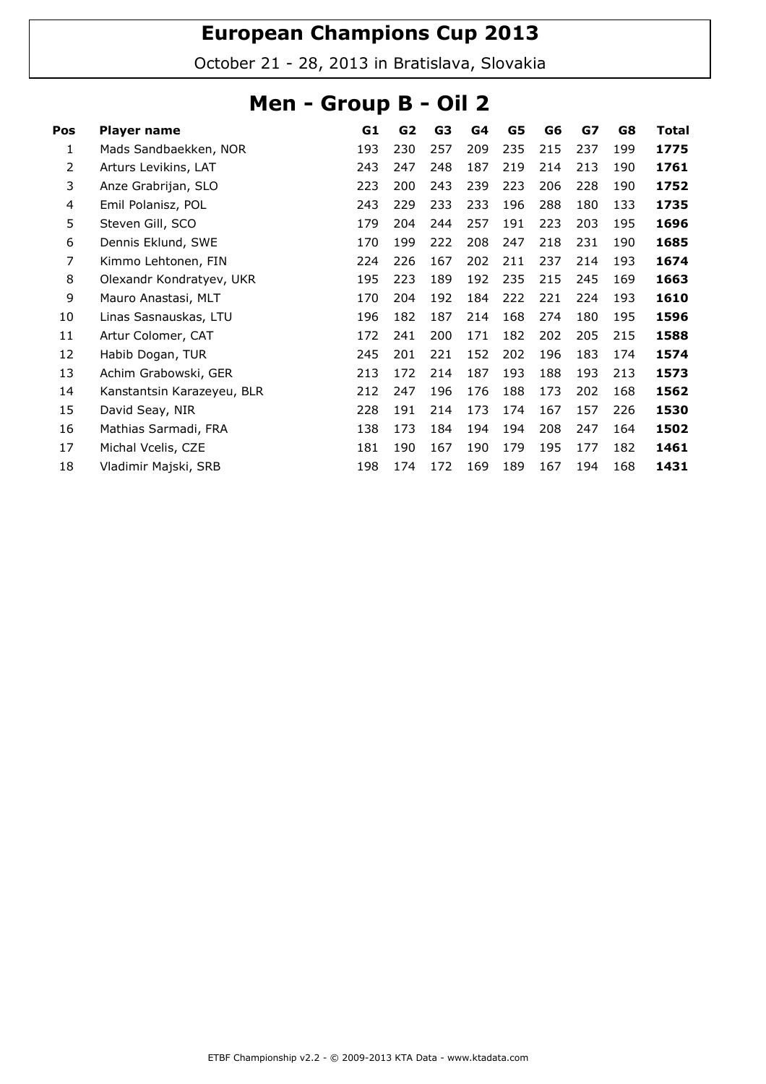October 21 - 28, 2013 in Bratislava, Slovakia

### Men - Group B - Oil 2

| Pos | Player name                | G1  | G2  | G3  | G4  | G5  | G6  | G7  | G8  | Total |
|-----|----------------------------|-----|-----|-----|-----|-----|-----|-----|-----|-------|
| 1   | Mads Sandbaekken, NOR      | 193 | 230 | 257 | 209 | 235 | 215 | 237 | 199 | 1775  |
| 2   | Arturs Levikins, LAT       | 243 | 247 | 248 | 187 | 219 | 214 | 213 | 190 | 1761  |
| 3   | Anze Grabrijan, SLO        | 223 | 200 | 243 | 239 | 223 | 206 | 228 | 190 | 1752  |
| 4   | Emil Polanisz, POL         | 243 | 229 | 233 | 233 | 196 | 288 | 180 | 133 | 1735  |
| 5   | Steven Gill, SCO           | 179 | 204 | 244 | 257 | 191 | 223 | 203 | 195 | 1696  |
| 6   | Dennis Eklund, SWE         | 170 | 199 | 222 | 208 | 247 | 218 | 231 | 190 | 1685  |
| 7   | Kimmo Lehtonen, FIN        | 224 | 226 | 167 | 202 | 211 | 237 | 214 | 193 | 1674  |
| 8   | Olexandr Kondratyev, UKR   | 195 | 223 | 189 | 192 | 235 | 215 | 245 | 169 | 1663  |
| 9   | Mauro Anastasi, MLT        | 170 | 204 | 192 | 184 | 222 | 221 | 224 | 193 | 1610  |
| 10  | Linas Sasnauskas, LTU      | 196 | 182 | 187 | 214 | 168 | 274 | 180 | 195 | 1596  |
| 11  | Artur Colomer, CAT         | 172 | 241 | 200 | 171 | 182 | 202 | 205 | 215 | 1588  |
| 12  | Habib Dogan, TUR           | 245 | 201 | 221 | 152 | 202 | 196 | 183 | 174 | 1574  |
| 13  | Achim Grabowski, GER       | 213 | 172 | 214 | 187 | 193 | 188 | 193 | 213 | 1573  |
| 14  | Kanstantsin Karazeyeu, BLR | 212 | 247 | 196 | 176 | 188 | 173 | 202 | 168 | 1562  |
| 15  | David Seay, NIR            | 228 | 191 | 214 | 173 | 174 | 167 | 157 | 226 | 1530  |
| 16  | Mathias Sarmadi, FRA       | 138 | 173 | 184 | 194 | 194 | 208 | 247 | 164 | 1502  |
| 17  | Michal Vcelis, CZE         | 181 | 190 | 167 | 190 | 179 | 195 | 177 | 182 | 1461  |
| 18  | Vladimir Majski, SRB       | 198 | 174 | 172 | 169 | 189 | 167 | 194 | 168 | 1431  |
|     |                            |     |     |     |     |     |     |     |     |       |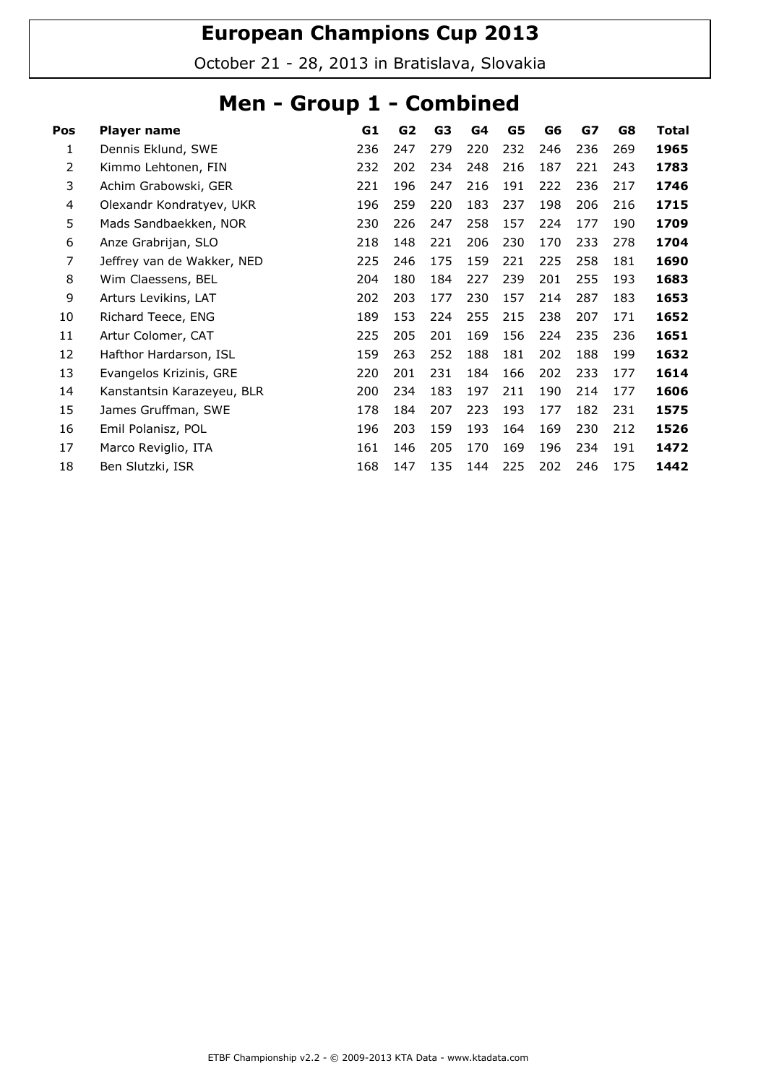October 21 - 28, 2013 in Bratislava, Slovakia

### Men - Group 1 - Combined

| Player name                | G1  | G <sub>2</sub> | G <sub>3</sub> | G4  | G5  | G6  | G7  | G8  | <b>Total</b> |
|----------------------------|-----|----------------|----------------|-----|-----|-----|-----|-----|--------------|
| Dennis Eklund, SWE         | 236 | 247            | 279            | 220 | 232 | 246 | 236 | 269 | 1965         |
| Kimmo Lehtonen, FIN        | 232 | 202            | 234            | 248 | 216 | 187 | 221 | 243 | 1783         |
| Achim Grabowski, GER       | 221 | 196            | 247            | 216 | 191 | 222 | 236 | 217 | 1746         |
| Olexandr Kondratyev, UKR   | 196 | 259            | 220            | 183 | 237 | 198 | 206 | 216 | 1715         |
| Mads Sandbaekken, NOR      | 230 | 226            | 247            | 258 | 157 | 224 | 177 | 190 | 1709         |
| Anze Grabrijan, SLO        | 218 | 148            | 221            | 206 | 230 | 170 | 233 | 278 | 1704         |
| Jeffrey van de Wakker, NED | 225 | 246            | 175            | 159 | 221 | 225 | 258 | 181 | 1690         |
| Wim Claessens, BEL         | 204 | 180            | 184            | 227 | 239 | 201 | 255 | 193 | 1683         |
| Arturs Levikins, LAT       | 202 | 203            | 177            | 230 | 157 | 214 | 287 | 183 | 1653         |
| Richard Teece, ENG         | 189 | 153            | 224            | 255 | 215 | 238 | 207 | 171 | 1652         |
| Artur Colomer, CAT         | 225 | 205            | 201            | 169 | 156 | 224 | 235 | 236 | 1651         |
| Hafthor Hardarson, ISL     | 159 | 263            | 252            | 188 | 181 | 202 | 188 | 199 | 1632         |
| Evangelos Krizinis, GRE    | 220 | 201            | 231            | 184 | 166 | 202 | 233 | 177 | 1614         |
| Kanstantsin Karazeyeu, BLR | 200 | 234            | 183            | 197 | 211 | 190 | 214 | 177 | 1606         |
| James Gruffman, SWE        | 178 | 184            | 207            | 223 | 193 | 177 | 182 | 231 | 1575         |
| Emil Polanisz, POL         | 196 | 203            | 159            | 193 | 164 | 169 | 230 | 212 | 1526         |
| Marco Reviglio, ITA        | 161 | 146            | 205            | 170 | 169 | 196 | 234 | 191 | 1472         |
| Ben Slutzki, ISR           | 168 | 147            | 135            | 144 | 225 | 202 | 246 | 175 | 1442         |
|                            |     |                |                |     |     |     |     |     |              |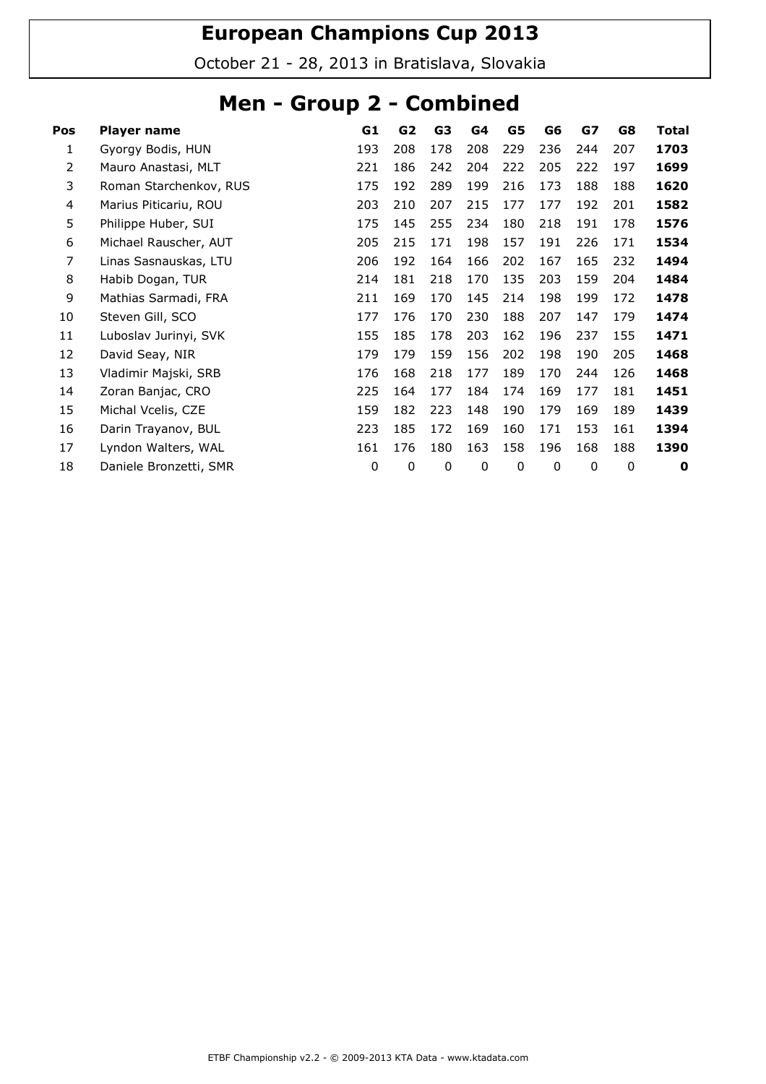October 21 - 28, 2013 in Bratislava, Slovakia

### Men - Group 2 - Combined

| Pos | Player name            | G1       | G <sub>2</sub> | G3  | G4  | G5          | G6  | GZ  | G8  | <b>Total</b> |
|-----|------------------------|----------|----------------|-----|-----|-------------|-----|-----|-----|--------------|
| 1   | Gyorgy Bodis, HUN      | 193      | 208            | 178 | 208 | 229         | 236 | 244 | 207 | 1703         |
| 2   | Mauro Anastasi, MLT    | 221      | 186            | 242 | 204 | 222         | 205 | 222 | 197 | 1699         |
| 3   | Roman Starchenkov, RUS | 175      | 192            | 289 | 199 | 216         | 173 | 188 | 188 | 1620         |
| 4   | Marius Piticariu, ROU  | 203      | 210            | 207 | 215 | 177         | 177 | 192 | 201 | 1582         |
| 5   | Philippe Huber, SUI    | 175      | 145            | 255 | 234 | 180         | 218 | 191 | 178 | 1576         |
| 6   | Michael Rauscher, AUT  | 205      | 215            | 171 | 198 | 157         | 191 | 226 | 171 | 1534         |
| 7   | Linas Sasnauskas, LTU  | 206      | 192            | 164 | 166 | 202         | 167 | 165 | 232 | 1494         |
| 8   | Habib Dogan, TUR       | 214      | 181            | 218 | 170 | 135         | 203 | 159 | 204 | 1484         |
| 9   | Mathias Sarmadi, FRA   | 211      | 169            | 170 | 145 | 214         | 198 | 199 | 172 | 1478         |
| 10  | Steven Gill, SCO       | 177      | 176            | 170 | 230 | 188         | 207 | 147 | 179 | 1474         |
| 11  | Luboslav Jurinyi, SVK  | 155      | 185            | 178 | 203 | 162         | 196 | 237 | 155 | 1471         |
| 12  | David Seay, NIR        | 179      | 179            | 159 | 156 | 202         | 198 | 190 | 205 | 1468         |
| 13  | Vladimir Majski, SRB   | 176      | 168            | 218 | 177 | 189         | 170 | 244 | 126 | 1468         |
| 14  | Zoran Banjac, CRO      | 225      | 164            | 177 | 184 | 174         | 169 | 177 | 181 | 1451         |
| 15  | Michal Vcelis, CZE     | 159      | 182            | 223 | 148 | 190         | 179 | 169 | 189 | 1439         |
| 16  | Darin Trayanov, BUL    | 223      | 185            | 172 | 169 | 160         | 171 | 153 | 161 | 1394         |
| 17  | Lyndon Walters, WAL    | 161      | 176            | 180 | 163 | 158         | 196 | 168 | 188 | 1390         |
| 18  | Daniele Bronzetti, SMR | $\Omega$ | 0              | 0   | 0   | $\mathbf 0$ | 0   | 0   | 0   | 0            |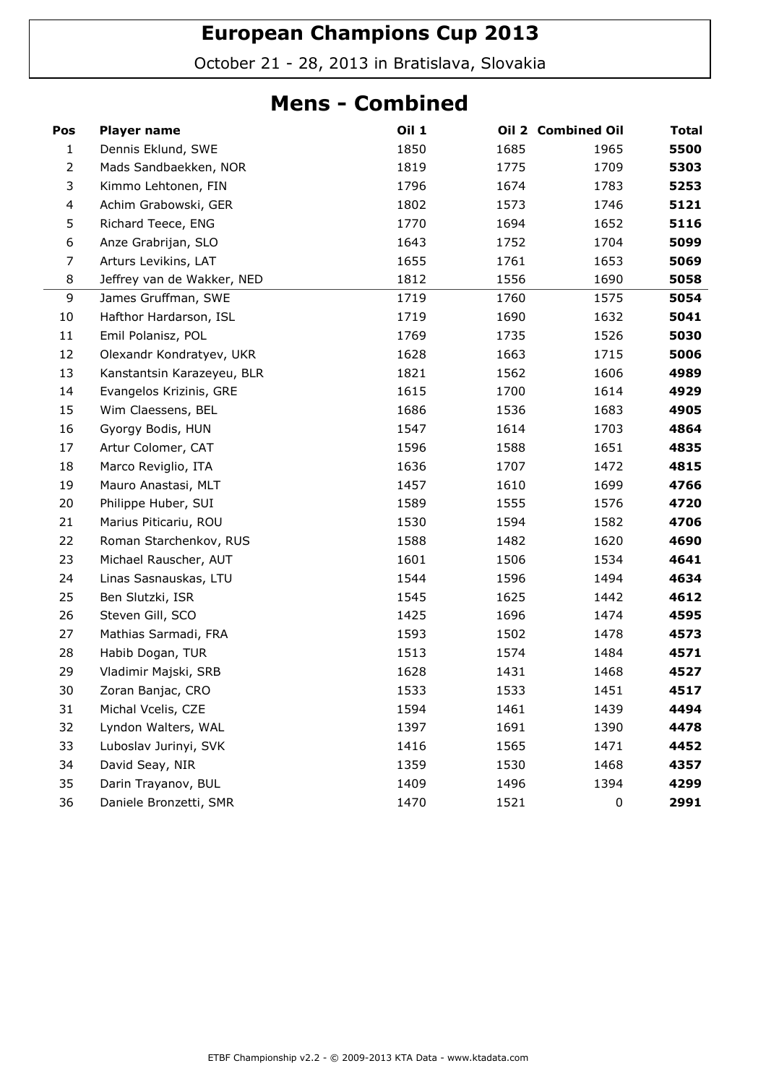October 21 - 28, 2013 in Bratislava, Slovakia

#### Mens - Combined

| Pos            | <b>Player name</b>         | <b>Oil 1</b> |      | Oil 2 Combined Oil | <b>Total</b> |
|----------------|----------------------------|--------------|------|--------------------|--------------|
| $\mathbf{1}$   | Dennis Eklund, SWE         | 1850         | 1685 | 1965               | 5500         |
| $\overline{2}$ | Mads Sandbaekken, NOR      | 1819         | 1775 | 1709               | 5303         |
| 3              | Kimmo Lehtonen, FIN        | 1796         | 1674 | 1783               | 5253         |
| $\overline{4}$ | Achim Grabowski, GER       | 1802         | 1573 | 1746               | 5121         |
| 5              | Richard Teece, ENG         | 1770         | 1694 | 1652               | 5116         |
| 6              | Anze Grabrijan, SLO        | 1643         | 1752 | 1704               | 5099         |
| $\overline{7}$ | Arturs Levikins, LAT       | 1655         | 1761 | 1653               | 5069         |
| 8              | Jeffrey van de Wakker, NED | 1812         | 1556 | 1690               | 5058         |
| 9              | James Gruffman, SWE        | 1719         | 1760 | 1575               | 5054         |
| 10             | Hafthor Hardarson, ISL     | 1719         | 1690 | 1632               | 5041         |
| $11\,$         | Emil Polanisz, POL         | 1769         | 1735 | 1526               | 5030         |
| 12             | Olexandr Kondratyev, UKR   | 1628         | 1663 | 1715               | 5006         |
| 13             | Kanstantsin Karazeyeu, BLR | 1821         | 1562 | 1606               | 4989         |
| 14             | Evangelos Krizinis, GRE    | 1615         | 1700 | 1614               | 4929         |
| 15             | Wim Claessens, BEL         | 1686         | 1536 | 1683               | 4905         |
| 16             | Gyorgy Bodis, HUN          | 1547         | 1614 | 1703               | 4864         |
| 17             | Artur Colomer, CAT         | 1596         | 1588 | 1651               | 4835         |
| 18             | Marco Reviglio, ITA        | 1636         | 1707 | 1472               | 4815         |
| 19             | Mauro Anastasi, MLT        | 1457         | 1610 | 1699               | 4766         |
| 20             | Philippe Huber, SUI        | 1589         | 1555 | 1576               | 4720         |
| 21             | Marius Piticariu, ROU      | 1530         | 1594 | 1582               | 4706         |
| 22             | Roman Starchenkov, RUS     | 1588         | 1482 | 1620               | 4690         |
| 23             | Michael Rauscher, AUT      | 1601         | 1506 | 1534               | 4641         |
| 24             | Linas Sasnauskas, LTU      | 1544         | 1596 | 1494               | 4634         |
| 25             | Ben Slutzki, ISR           | 1545         | 1625 | 1442               | 4612         |
| 26             | Steven Gill, SCO           | 1425         | 1696 | 1474               | 4595         |
| 27             | Mathias Sarmadi, FRA       | 1593         | 1502 | 1478               | 4573         |
| 28             | Habib Dogan, TUR           | 1513         | 1574 | 1484               | 4571         |
| 29             | Vladimir Majski, SRB       | 1628         | 1431 | 1468               | 4527         |
| 30             | Zoran Banjac, CRO          | 1533         | 1533 | 1451               | 4517         |
| 31             | Michal Vcelis, CZE         | 1594         | 1461 | 1439               | 4494         |
| 32             | Lyndon Walters, WAL        | 1397         | 1691 | 1390               | 4478         |
| 33             | Luboslav Jurinyi, SVK      | 1416         | 1565 | 1471               | 4452         |
| 34             | David Seay, NIR            | 1359         | 1530 | 1468               | 4357         |
| 35             | Darin Trayanov, BUL        | 1409         | 1496 | 1394               | 4299         |
| 36             | Daniele Bronzetti, SMR     | 1470         | 1521 | 0                  | 2991         |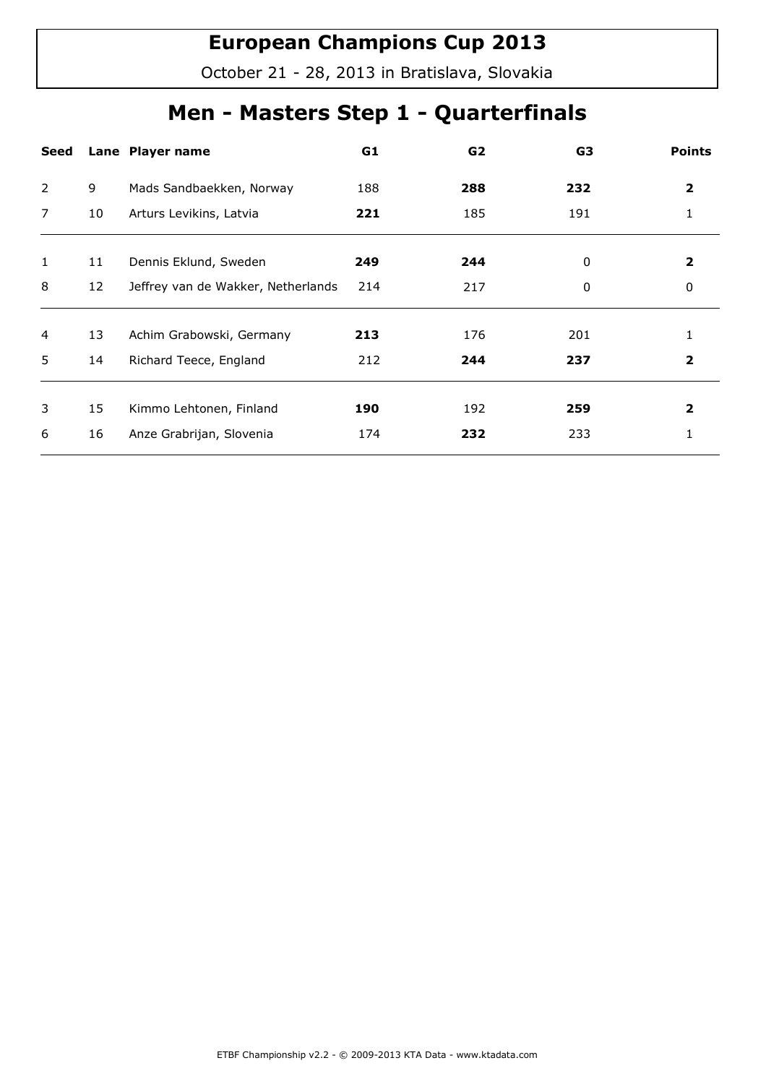October 21 - 28, 2013 in Bratislava, Slovakia

## Men - Masters Step 1 - Quarterfinals

| Seed           |    | Lane Player name                   | G1  | G <sub>2</sub> | G3  | <b>Points</b> |
|----------------|----|------------------------------------|-----|----------------|-----|---------------|
| 2              | 9  | Mads Sandbaekken, Norway           | 188 | 288            | 232 | 2             |
| $\overline{7}$ | 10 | Arturs Levikins, Latvia            | 221 | 185            | 191 | 1             |
|                |    |                                    |     |                |     |               |
| $\mathbf{1}$   | 11 | Dennis Eklund, Sweden              | 249 | 244            | 0   | 2             |
| 8              | 12 | Jeffrey van de Wakker, Netherlands | 214 | 217            | 0   | 0             |
|                |    |                                    |     |                |     |               |
| 4              | 13 | Achim Grabowski, Germany           | 213 | 176            | 201 |               |
| 5              | 14 | Richard Teece, England             | 212 | 244            | 237 | 2             |
|                |    |                                    |     |                |     |               |
| 3              | 15 | Kimmo Lehtonen, Finland            | 190 | 192            | 259 | 2             |
| 6              | 16 | Anze Grabrijan, Slovenia           | 174 | 232            | 233 |               |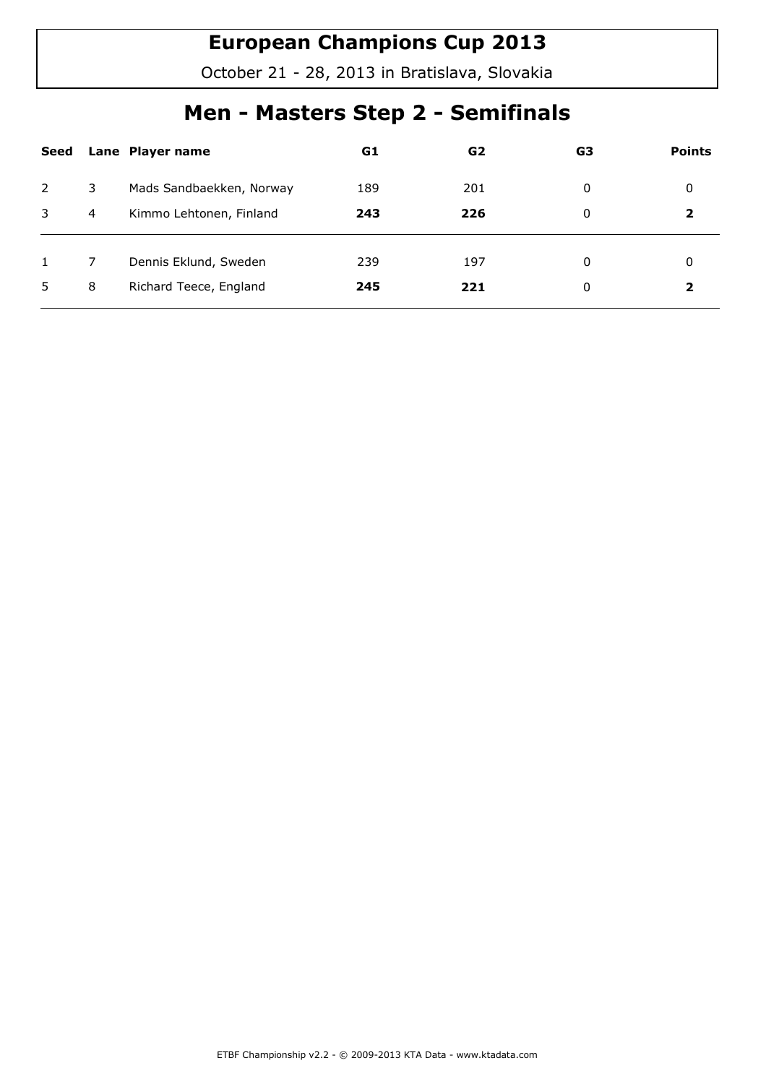October 21 - 28, 2013 in Bratislava, Slovakia

## Men - Masters Step 2 - Semifinals

| Seed |    | Lane Player name         | G1  | G2  | G3 | <b>Points</b> |
|------|----|--------------------------|-----|-----|----|---------------|
| 2    | 3. | Mads Sandbaekken, Norway | 189 | 201 | 0  | 0             |
| 3    | 4  | Kimmo Lehtonen, Finland  | 243 | 226 | 0  |               |
|      |    | Dennis Eklund, Sweden    | 239 | 197 | 0  | 0             |
| 5    | 8  | Richard Teece, England   | 245 | 221 | 0  | 2             |
|      |    |                          |     |     |    |               |